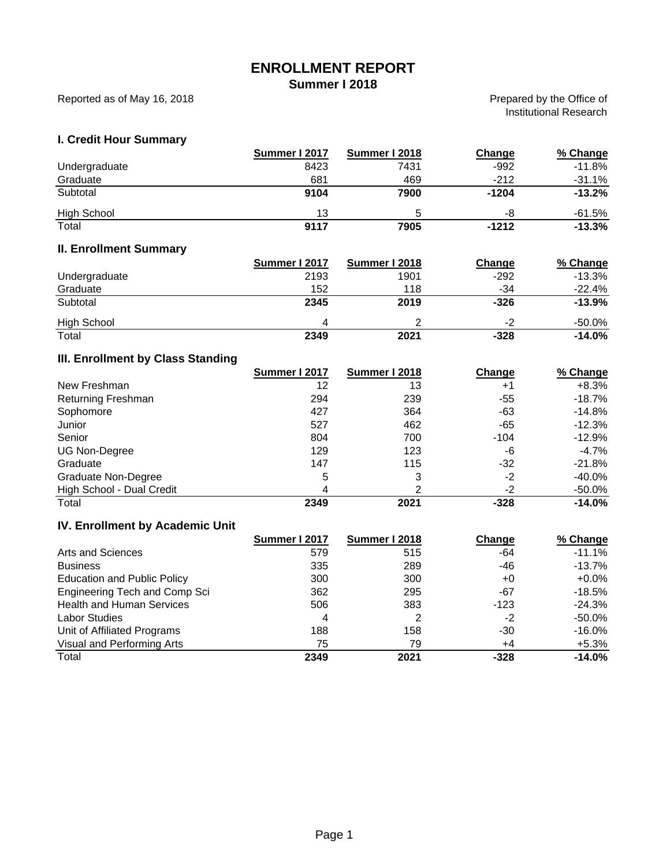# **ENROLLMENT REPORT**

**Summer I 2018**

Reported as of May 16, 2018

Prepared by the Office of Institutional Research

#### **I. Credit Hour Summary**

|                                        | Summer I 2017        | <b>Summer I 2018</b> | <b>Change</b> | % Change  |
|----------------------------------------|----------------------|----------------------|---------------|-----------|
| Undergraduate                          | 8423                 | 7431                 | $-992$        | $-11.8%$  |
| Graduate                               | 681                  | 469                  | $-212$        | $-31.1%$  |
| Subtotal                               | 9104                 | 7900                 | $-1204$       | $-13.2%$  |
| <b>High School</b>                     | 13                   | 5                    | -8            | $-61.5%$  |
| Total                                  | 9117                 | 7905                 | $-1212$       | $-13.3%$  |
| <b>II. Enrollment Summary</b>          |                      |                      |               |           |
|                                        | <b>Summer I 2017</b> | Summer I 2018        | Change        | % Change  |
| Undergraduate                          | 2193                 | 1901                 | $-292$        | $-13.3%$  |
| Graduate                               | 152                  | 118                  | $-34$         | $-22.4\%$ |
| Subtotal                               | 2345                 | 2019                 | $-326$        | $-13.9%$  |
| <b>High School</b>                     | 4                    | 2                    | $-2$          | $-50.0%$  |
| Total                                  | 2349                 | 2021                 | $-328$        | $-14.0%$  |
| III. Enrollment by Class Standing      |                      |                      |               |           |
|                                        | <b>Summer I 2017</b> | <b>Summer I 2018</b> | Change        | % Change  |
| New Freshman                           | 12                   | 13                   | $+1$          | $+8.3%$   |
| Returning Freshman                     | 294                  | 239                  | $-55$         | $-18.7%$  |
| Sophomore                              | 427                  | 364                  | $-63$         | $-14.8%$  |
| Junior                                 | 527                  | 462                  | $-65$         | $-12.3%$  |
| Senior                                 | 804                  | 700                  | $-104$        | $-12.9%$  |
| <b>UG Non-Degree</b>                   | 129                  | 123                  | -6            | $-4.7\%$  |
| Graduate                               | 147                  | 115                  | $-32$         | $-21.8%$  |
| <b>Graduate Non-Degree</b>             | 5                    | 3                    | $-2$          | $-40.0%$  |
| High School - Dual Credit              | 4                    | 2                    | $-2$          | $-50.0\%$ |
| Total                                  | 2349                 | 2021                 | $-328$        | $-14.0%$  |
| <b>IV. Enrollment by Academic Unit</b> |                      |                      |               |           |

#### 579 515 -64 -11.1% 335 289 -46 -13.7% 300 +0 +0.0% 362 295 -67 -18.5% 506 383 -123 -24.3% 4 2 -2 -50.0% 188 158 -30 -16.0% 75 79 +4 +5.3% **2349 2021 -328 -14.0%** Visual and Performing Arts **Total** Education and Public Policy Engineering Tech and Comp Sci Health and Human Services Labor Studies Unit of Affiliated Programs **Summer I 2018 Change % Change** Arts and Sciences **Business Summer I 2017**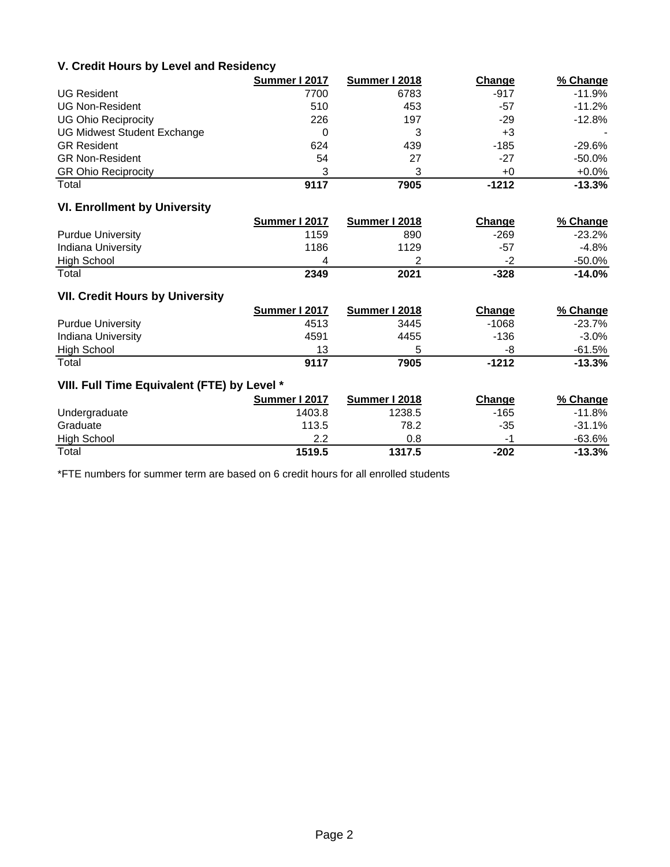#### **V. Credit Hours by Level and Residency**

|                             | Summer I 2017 | Summer I 2018 | Change | % Change  |
|-----------------------------|---------------|---------------|--------|-----------|
| <b>UG Resident</b>          | 7700          | 6783          | $-917$ | $-11.9%$  |
| <b>UG Non-Resident</b>      | 510           | 453           | -57    | $-11.2%$  |
| <b>UG Ohio Reciprocity</b>  | 226           | 197           | -29    | $-12.8%$  |
| UG Midwest Student Exchange | 0             |               | +3     |           |
| <b>GR Resident</b>          | 624           | 439           | $-185$ | $-29.6%$  |
| <b>GR Non-Resident</b>      | 54            | 27            | -27    | $-50.0\%$ |
| <b>GR Ohio Reciprocity</b>  | 3             | 3             | $+0$   | $+0.0\%$  |
| Total                       | 9117          | 7905          | -1212  | $-13.3%$  |

# **VI. Enrollment by University**

|                          | Summer I 2017 | Summer I 2018 | Change | % Change  |
|--------------------------|---------------|---------------|--------|-----------|
| <b>Purdue University</b> | 1159          | 890           | -269   | $-23.2\%$ |
| Indiana University       | 1186          | 1129          | -57    | -4.8%     |
| <b>High School</b>       |               |               | $-2$   | $-50.0\%$ |
| Total                    | 2349          | 2021          | -328   | $-14.0%$  |

# **VII. Credit Hours by University**

|                          | Summer I 2017 | Summer I 2018 | Change  | % Change  |
|--------------------------|---------------|---------------|---------|-----------|
| <b>Purdue University</b> | 4513          | 3445          | $-1068$ | -23.7%    |
| Indiana University       | 4591          | 4455          | -136    | -3.0%     |
| High School              | 13            |               | -8      | -61.5%    |
| Total                    | 9117          | 7905          | $-1212$ | $-13.3\%$ |

#### **VIII. Full Time Equivalent (FTE) by Level \***

|                    | Summer I 2017 | Summer I 2018 | Change | % Change |
|--------------------|---------------|---------------|--------|----------|
| Undergraduate      | 1403.8        | 1238.5        | -165   | -11.8%   |
| Graduate           | 113.5         | 78.2          | -35    | $-31.1%$ |
| <b>High School</b> | 2.2           | 0.8           |        | -63.6%   |
| Total              | 1519.5        | 1317.5        | $-202$ | $-13.3%$ |

\*FTE numbers for summer term are based on 6 credit hours for all enrolled students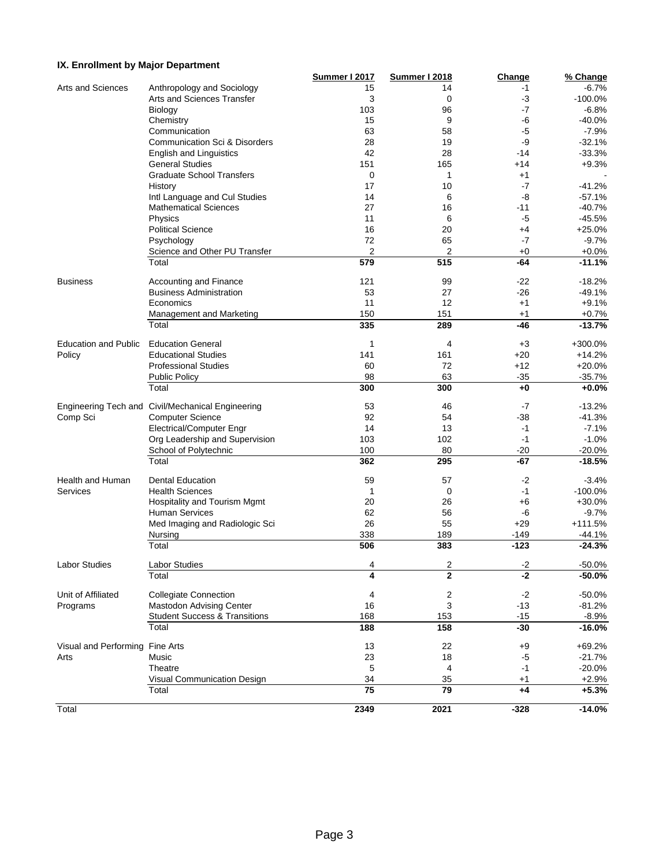#### **IX. Enrollment by Major Department**

|                                 |                                                   | <b>Summer I 2017</b> | <b>Summer I 2018</b> | Change | % Change   |
|---------------------------------|---------------------------------------------------|----------------------|----------------------|--------|------------|
| Arts and Sciences               | Anthropology and Sociology                        | 15                   | 14                   | $-1$   | $-6.7%$    |
|                                 | Arts and Sciences Transfer                        | 3                    | 0                    | -3     | $-100.0%$  |
|                                 | Biology                                           | 103                  | 96                   | $-7$   | $-6.8%$    |
|                                 | Chemistry                                         | 15                   | 9                    | -6     | $-40.0%$   |
|                                 | Communication                                     | 63                   | 58                   | $-5$   | $-7.9%$    |
|                                 | Communication Sci & Disorders                     | 28                   | 19                   | -9     | $-32.1%$   |
|                                 | <b>English and Linguistics</b>                    | 42                   | 28                   | $-14$  | $-33.3%$   |
|                                 | <b>General Studies</b>                            | 151                  | 165                  | $+14$  | $+9.3%$    |
|                                 | <b>Graduate School Transfers</b>                  | 0                    | 1                    | $+1$   |            |
|                                 | History                                           | 17                   | 10                   | -7     | $-41.2%$   |
|                                 | Intl Language and Cul Studies                     | 14                   | 6                    | -8     | $-57.1%$   |
|                                 | <b>Mathematical Sciences</b>                      | 27                   | 16                   | -11    | $-40.7%$   |
|                                 | Physics                                           | 11                   | 6                    | -5     | $-45.5%$   |
|                                 | <b>Political Science</b>                          | 16                   | 20                   | +4     | $+25.0%$   |
|                                 | Psychology                                        | 72                   | 65                   | $-7$   | $-9.7%$    |
|                                 | Science and Other PU Transfer                     | 2                    | 2                    | $+0$   | $+0.0%$    |
|                                 | Total                                             | 579                  | 515                  | $-64$  | $-11.1%$   |
|                                 |                                                   |                      |                      |        |            |
| <b>Business</b>                 | Accounting and Finance                            | 121                  | 99                   | -22    | $-18.2%$   |
|                                 | <b>Business Administration</b>                    | 53                   | 27                   | -26    | $-49.1%$   |
|                                 | Economics                                         | 11                   | 12                   | $+1$   | $+9.1%$    |
|                                 | Management and Marketing                          | 150                  | 151                  | $+1$   | $+0.7%$    |
|                                 | Total                                             | 335                  | 289                  | -46    | $-13.7%$   |
| <b>Education and Public</b>     | <b>Education General</b>                          | 1                    | 4                    | $+3$   | +300.0%    |
| Policy                          | <b>Educational Studies</b>                        | 141                  | 161                  | $+20$  | $+14.2%$   |
|                                 | <b>Professional Studies</b>                       | 60                   | 72                   | $+12$  | $+20.0%$   |
|                                 | <b>Public Policy</b>                              | 98                   | 63                   | $-35$  | $-35.7%$   |
|                                 | Total                                             | 300                  | 300                  | $+0$   | $+0.0%$    |
|                                 |                                                   |                      |                      |        |            |
|                                 | Engineering Tech and Civil/Mechanical Engineering | 53                   | 46                   | $-7$   | $-13.2%$   |
| Comp Sci                        | <b>Computer Science</b>                           | 92                   | 54                   | -38    | $-41.3%$   |
|                                 | <b>Electrical/Computer Engr</b>                   | 14                   | 13                   | $-1$   | $-7.1%$    |
|                                 | Org Leadership and Supervision                    | 103                  | 102                  | $-1$   | $-1.0%$    |
|                                 | School of Polytechnic                             | 100                  | 80                   | -20    | $-20.0%$   |
|                                 | Total                                             | 362                  | 295                  | -67    | $-18.5%$   |
| Health and Human                | <b>Dental Education</b>                           | 59                   | 57                   | $-2$   | $-3.4%$    |
| <b>Services</b>                 | <b>Health Sciences</b>                            | 1                    | 0                    | $-1$   | $-100.0\%$ |
|                                 |                                                   |                      |                      |        | $+30.0%$   |
|                                 | Hospitality and Tourism Mgmt                      | 20                   | 26                   | +6     |            |
|                                 | <b>Human Services</b>                             | 62                   | 56                   | -6     | $-9.7%$    |
|                                 | Med Imaging and Radiologic Sci                    | 26                   | 55                   | $+29$  | $+111.5%$  |
|                                 | Nursing                                           | 338                  | 189                  | -149   | $-44.1%$   |
|                                 | Total                                             | 506                  | 383                  | $-123$ | $-24.3%$   |
| <b>Labor Studies</b>            | Labor Studies                                     | 4                    | $\sqrt{2}$           | $-2$   | $-50.0%$   |
|                                 | Total                                             | 4                    | $\overline{2}$       | $-2$   | $-50.0%$   |
| Unit of Affiliated              | <b>Collegiate Connection</b>                      | 4                    | 2                    | $-2$   | $-50.0%$   |
| Programs                        | Mastodon Advising Center                          | 16                   | 3                    | $-13$  | $-81.2%$   |
|                                 | <b>Student Success &amp; Transitions</b>          | 168                  | 153                  | $-15$  | $-8.9%$    |
|                                 | Total                                             | 188                  | 158                  | $-30$  | $-16.0%$   |
|                                 |                                                   |                      |                      |        |            |
| Visual and Performing Fine Arts |                                                   | 13                   | 22                   | +9     | $+69.2%$   |
| Arts                            | Music                                             | 23                   | 18                   | $-5$   | $-21.7%$   |
|                                 | Theatre                                           | 5                    | 4                    | $-1$   | $-20.0%$   |
|                                 | Visual Communication Design                       | 34                   | 35                   | $+1$   | $+2.9%$    |
|                                 | Total                                             | 75                   | 79                   | $+4$   | $+5.3%$    |
| Total                           |                                                   | 2349                 | 2021                 | $-328$ | $-14.0%$   |